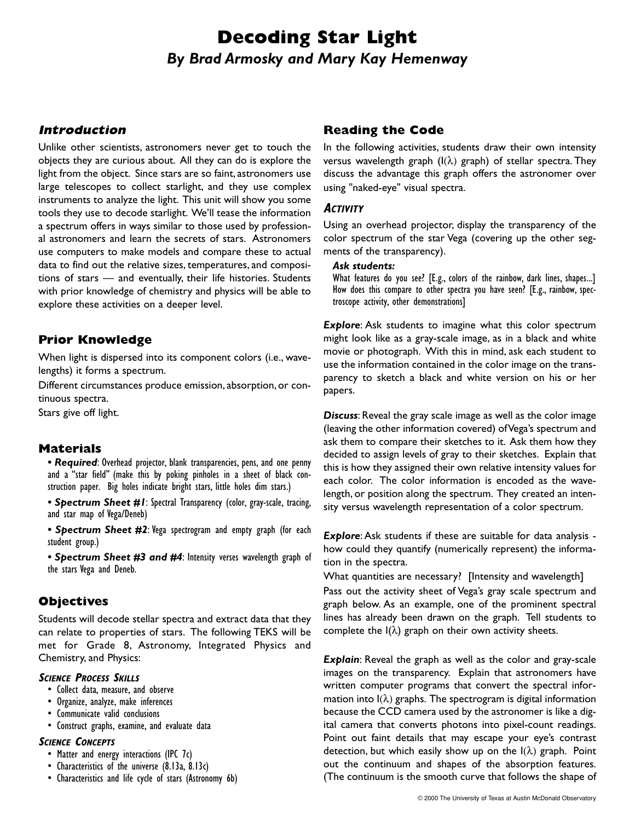# **Decoding Star Light** *By Brad Armosky and Mary Kay Hemenway*

#### **Introduction**

Unlike other scientists, astronomers never get to touch the objects they are curious about. All they can do is explore the light from the object. Since stars are so faint, astronomers use large telescopes to collect starlight, and they use complex instruments to analyze the light. This unit will show you some tools they use to decode starlight. We'll tease the information a spectrum offers in ways similar to those used by professional astronomers and learn the secrets of stars. Astronomers use computers to make models and compare these to actual data to find out the relative sizes, temperatures, and compositions of stars — and eventually, their life histories. Students with prior knowledge of chemistry and physics will be able to explore these activities on a deeper level.

## **Prior Knowledge**

When light is dispersed into its component colors (i.e., wavelengths) it forms a spectrum.

Different circumstances produce emission, absorption, or continuous spectra.

Stars give off light.

## **Materials**

*• Required*: Overhead projector, blank transparencies, pens, and one penny and a "star field" (make this by poking pinholes in a sheet of black construction paper. Big holes indicate bright stars, little holes dim stars.)

*• Spectrum Sheet #1*: Spectral Transparency (color, gray-scale, tracing, and star map of Vega/Deneb)

*• Spectrum Sheet #2*: Vega spectrogram and empty graph (for each student group.)

*• Spectrum Sheet #3 and #4*: Intensity verses wavelength graph of the stars Vega and Deneb.

# **Objectives**

Students will decode stellar spectra and extract data that they can relate to properties of stars. The following TEKS will be met for Grade 8, Astronomy, Integrated Physics and Chemistry, and Physics:

#### **SCIENCE PROCESS SKILLS**

- Collect data, measure, and observe
- Organize, analyze, make inferences
- Communicate valid conclusions
- Construct graphs, examine, and evaluate data

#### **SCIENCE CONCEPTS**

- Matter and energy interactions (IPC 7c)
- Characteristics of the universe (8.13a, 8.13c)
- Characteristics and life cycle of stars (Astronomy 6b)

#### **Reading the Code**

In the following activities, students draw their own intensity versus wavelength graph  $(I(\lambda))$  graph) of stellar spectra. They discuss the advantage this graph offers the astronomer over using "naked-eye" visual spectra.

#### **ACTIVITY**

Using an overhead projector, display the transparency of the color spectrum of the star Vega (covering up the other segments of the transparency).

#### *Ask students:*

What features do you see? [E.g., colors of the rainbow, dark lines, shapes...] How does this compare to other spectra you have seen? [E.g., rainbow, spectroscope activity, other demonstrations]

**Explore**: Ask students to imagine what this color spectrum might look like as a gray-scale image, as in a black and white movie or photograph. With this in mind, ask each student to use the information contained in the color image on the transparency to sketch a black and white version on his or her papers.

*Discuss*: Reveal the gray scale image as well as the color image (leaving the other information covered) of Vega's spectrum and ask them to compare their sketches to it. Ask them how they decided to assign levels of gray to their sketches. Explain that this is how they assigned their own relative intensity values for each color. The color information is encoded as the wavelength, or position along the spectrum. They created an intensity versus wavelength representation of a color spectrum.

*Explore*: Ask students if these are suitable for data analysis how could they quantify (numerically represent) the information in the spectra.

What quantities are necessary? [Intensity and wavelength] Pass out the activity sheet of Vega's gray scale spectrum and graph below. As an example, one of the prominent spectral lines has already been drawn on the graph. Tell students to complete the  $I(\lambda)$  graph on their own activity sheets.

*Explain*: Reveal the graph as well as the color and gray-scale images on the transparency. Explain that astronomers have written computer programs that convert the spectral information into  $I(\lambda)$  graphs. The spectrogram is digital information because the CCD camera used by the astronomer is like a digital camera that converts photons into pixel-count readings. Point out faint details that may escape your eye's contrast detection, but which easily show up on the  $I(\lambda)$  graph. Point out the continuum and shapes of the absorption features. (The continuum is the smooth curve that follows the shape of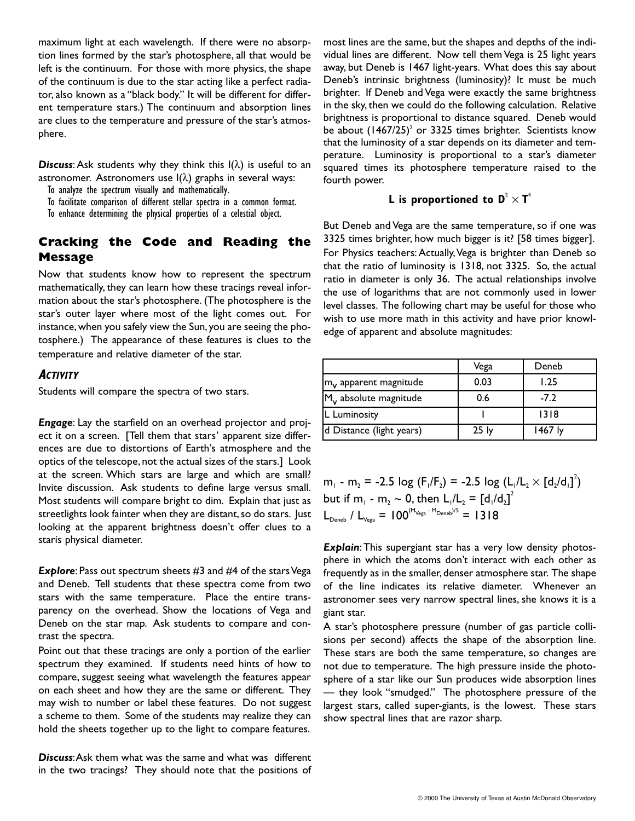maximum light at each wavelength. If there were no absorption lines formed by the star's photosphere, all that would be left is the continuum. For those with more physics, the shape of the continuum is due to the star acting like a perfect radiator, also known as a "black body." It will be different for different temperature stars.) The continuum and absorption lines are clues to the temperature and pressure of the star's atmosphere.

**Discuss:** Ask students why they think this  $I(\lambda)$  is useful to an astronomer. Astronomers use  $I(\lambda)$  graphs in several ways:

To analyze the spectrum visually and mathematically.

To facilitate comparison of different stellar spectra in a common format.

To enhance determining the physical properties of a celestial object.

# **Cracking the Code and Reading the Message**

Now that students know how to represent the spectrum mathematically, they can learn how these tracings reveal information about the star's photosphere. (The photosphere is the star's outer layer where most of the light comes out. For instance, when you safely view the Sun, you are seeing the photosphere.) The appearance of these features is clues to the temperature and relative diameter of the star.

## **ACTIVITY**

Students will compare the spectra of two stars.

*Engage*: Lay the starfield on an overhead projector and project it on a screen. [Tell them that stars' apparent size differences are due to distortions of Earth's atmosphere and the optics of the telescope, not the actual sizes of the stars.] Look at the screen. Which stars are large and which are small? Invite discussion. Ask students to define large versus small. Most students will compare bright to dim. Explain that just as streetlights look fainter when they are distant, so do stars. Just looking at the apparent brightness doesn't offer clues to a starís physical diameter.

**Explore**: Pass out spectrum sheets #3 and #4 of the stars Vega and Deneb. Tell students that these spectra come from two stars with the same temperature. Place the entire transparency on the overhead. Show the locations of Vega and Deneb on the star map. Ask students to compare and contrast the spectra.

Point out that these tracings are only a portion of the earlier spectrum they examined. If students need hints of how to compare, suggest seeing what wavelength the features appear on each sheet and how they are the same or different. They may wish to number or label these features. Do not suggest a scheme to them. Some of the students may realize they can hold the sheets together up to the light to compare features.

*Discuss*:Ask them what was the same and what was different in the two tracings? They should note that the positions of most lines are the same, but the shapes and depths of the individual lines are different. Now tell them Vega is 25 light years away, but Deneb is 1467 light-years. What does this say about Deneb's intrinsic brightness (luminosity)? It must be much brighter. If Deneb and Vega were exactly the same brightness in the sky, then we could do the following calculation. Relative brightness is proportional to distance squared. Deneb would be about  $(1467/25)^2$  or 3325 times brighter. Scientists know that the luminosity of a star depends on its diameter and temperature. Luminosity is proportional to a star's diameter squared times its photosphere temperature raised to the fourth power.

#### **L** is proportioned to  $\mathbf{D}^2 \times \mathbf{T}^4$

But Deneb and Vega are the same temperature, so if one was 3325 times brighter, how much bigger is it? [58 times bigger]. For Physics teachers: Actually,Vega is brighter than Deneb so that the ratio of luminosity is 1318, not 3325. So, the actual ratio in diameter is only 36. The actual relationships involve the use of logarithms that are not commonly used in lower level classes. The following chart may be useful for those who wish to use more math in this activity and have prior knowledge of apparent and absolute magnitudes:

|                                               | Vega             | Deneb   |
|-----------------------------------------------|------------------|---------|
| $\mathsf{Im}_{\mathsf{v}}$ apparent magnitude | 0.03             | 1.25    |
| M <sub>v</sub> absolute magnitude             | 0.6              | $-7.2$  |
| L Luminosity                                  |                  | 1318    |
| d Distance (light years)                      | 25 <sub>ly</sub> | 1467 ly |

m<sub>1</sub> - m<sub>2</sub> = -2.5 log (F<sub>1</sub>/F<sub>2</sub>) = -2.5 log (L<sub>1</sub>/L<sub>2</sub>  $\times$  [d<sub>2</sub>/d<sub>1</sub>]<sup>2</sup>) but if m<sub>1</sub> - m<sub>2</sub>  $\sim$  0, then L<sub>1</sub>/L<sub>2</sub> =  $[d_1/d_2]^2$  $L_{\text{Deneb}}$  /  $L_{\text{Vega}} = 100^{(M_{\text{Vega}} - M_{\text{Deneb}})/5} = 1318$ 

*Explain*: This supergiant star has a very low density photosphere in which the atoms don't interact with each other as frequently as in the smaller, denser atmosphere star. The shape of the line indicates its relative diameter. Whenever an astronomer sees very narrow spectral lines, she knows it is a giant star.

A star's photosphere pressure (number of gas particle collisions per second) affects the shape of the absorption line. These stars are both the same temperature, so changes are not due to temperature. The high pressure inside the photosphere of a star like our Sun produces wide absorption lines — they look "smudged." The photosphere pressure of the largest stars, called super-giants, is the lowest. These stars show spectral lines that are razor sharp.